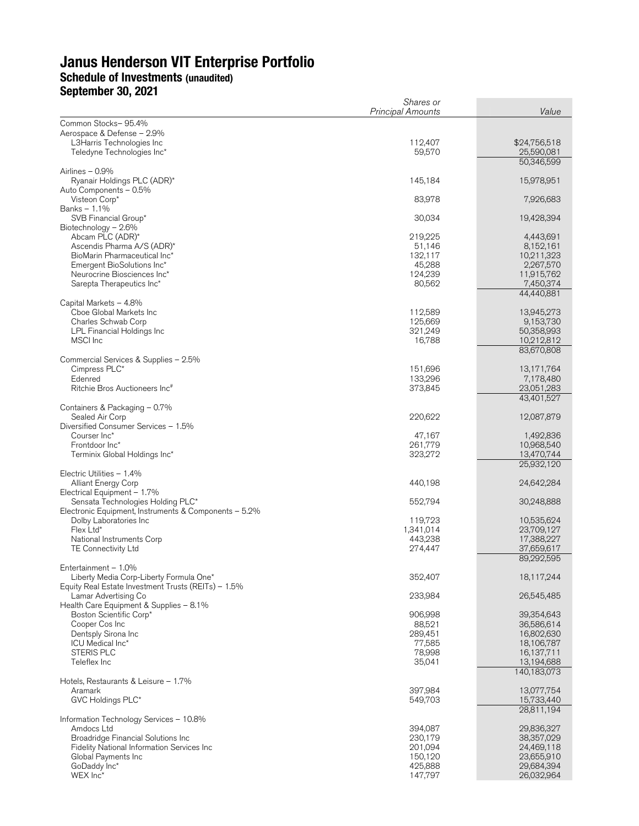# **Janus Henderson VIT Enterprise Portfolio Schedule of Investments (unaudited) September 30, 2021**

|                                                                             | Shares or<br><b>Principal Amounts</b> | Value                     |
|-----------------------------------------------------------------------------|---------------------------------------|---------------------------|
|                                                                             |                                       |                           |
| Common Stocks-95.4%                                                         |                                       |                           |
| Aerospace & Defense - 2.9%<br>L3Harris Technologies Inc                     | 112,407                               | \$24,756,518              |
| Teledyne Technologies Inc*                                                  | 59,570                                | 25,590,081                |
|                                                                             |                                       | 50,346,599                |
| Airlines - 0.9%                                                             |                                       |                           |
| Ryanair Holdings PLC (ADR)*                                                 | 145,184                               | 15,978,951                |
| Auto Components - 0.5%                                                      |                                       |                           |
| Visteon Corp*                                                               | 83,978                                | 7,926,683                 |
| Banks - 1.1%                                                                |                                       |                           |
| SVB Financial Group*<br>Biotechnology - 2.6%                                | 30,034                                | 19,428,394                |
| Abcam PLC (ADR)*                                                            | 219,225                               | 4,443,691                 |
| Ascendis Pharma A/S (ADR)*                                                  | 51,146                                | 8,152,161                 |
| BioMarin Pharmaceutical Inc*                                                | 132,117                               | 10,211,323                |
| Emergent BioSolutions Inc*                                                  | 45,288                                | 2,267,570                 |
| Neurocrine Biosciences Inc*                                                 | 124,239                               | 11,915,762                |
| Sarepta Therapeutics Inc*                                                   | 80,562                                | 7,450,374                 |
|                                                                             |                                       | 44,440,881                |
| Capital Markets - 4.8%                                                      |                                       |                           |
| Cboe Global Markets Inc<br>Charles Schwab Corp                              | 112,589<br>125,669                    | 13,945,273<br>9,153,730   |
| LPL Financial Holdings Inc                                                  | 321,249                               | 50,358,993                |
| MSCI Inc                                                                    | 16,788                                | 10,212,812                |
|                                                                             |                                       | 83,670,808                |
| Commercial Services & Supplies - 2.5%                                       |                                       |                           |
| Cimpress PLC*                                                               | 151,696                               | 13,171,764                |
| Edenred                                                                     | 133,296                               | 7,178,480                 |
| Ritchie Bros Auctioneers Inc <sup>#</sup>                                   | 373,845                               | 23,051,283                |
|                                                                             |                                       | 43,401,527                |
| Containers & Packaging - 0.7%<br>Sealed Air Corp                            | 220,622                               | 12,087,879                |
| Diversified Consumer Services - 1.5%                                        |                                       |                           |
| Courser Inc*                                                                | 47,167                                | 1,492,836                 |
| Frontdoor Inc*                                                              | 261,779                               | 10,968,540                |
| Terminix Global Holdings Inc*                                               | 323,272                               | 13,470,744                |
|                                                                             |                                       | 25,932,120                |
| Electric Utilities - 1.4%                                                   |                                       |                           |
| Alliant Energy Corp                                                         | 440,198                               | 24,642,284                |
| Electrical Equipment - 1.7%<br>Sensata Technologies Holding PLC*            | 552,794                               | 30,248,888                |
| Electronic Equipment, Instruments & Components - 5.2%                       |                                       |                           |
| Dolby Laboratories Inc                                                      | 119,723                               | 10,535,624                |
| Flex Ltd*                                                                   | 1,341,014                             | 23,709,127                |
| National Instruments Corp                                                   | 443,238                               | 17,388,227                |
| <b>TE Connectivity Ltd</b>                                                  | 274,447                               | 37,659,617                |
|                                                                             |                                       | 89,292,595                |
| Entertainment - 1.0%                                                        |                                       |                           |
| Liberty Media Corp-Liberty Formula One*                                     | 352,407                               | 18,117,244                |
| Equity Real Estate Investment Trusts (REITs) - 1.5%<br>Lamar Advertising Co | 233,984                               | 26,545,485                |
| Health Care Equipment & Supplies - 8.1%                                     |                                       |                           |
| Boston Scientific Corp*                                                     | 906,998                               | 39,354,643                |
| Cooper Cos Inc                                                              | 88,521                                | 36,586,614                |
| Dentsply Sirona Inc                                                         | 289,451                               | 16,802,630                |
| ICU Medical Inc*                                                            | 77,585                                | 18,106,787                |
| <b>STERIS PLC</b>                                                           | 78,998                                | 16,137,711                |
| Teleflex Inc                                                                | 35,041                                | 13,194,688<br>140,183,073 |
| Hotels, Restaurants & Leisure - 1.7%                                        |                                       |                           |
| Aramark                                                                     | 397,984                               | 13,077,754                |
| GVC Holdings PLC*                                                           | 549,703                               | 15,733,440                |
|                                                                             |                                       | 28,811,194                |
| Information Technology Services - 10.8%                                     |                                       |                           |
| Amdocs Ltd                                                                  | 394,087                               | 29,836,327                |
| Broadridge Financial Solutions Inc                                          | 230,179                               | 38,357,029                |
| Fidelity National Information Services Inc<br>Global Payments Inc           | 201,094<br>150,120                    | 24,469,118<br>23,655,910  |
| GoDaddy Inc*                                                                | 425,888                               | 29,684,394                |
| WEX Inc*                                                                    | 147,797                               | 26,032,964                |
|                                                                             |                                       |                           |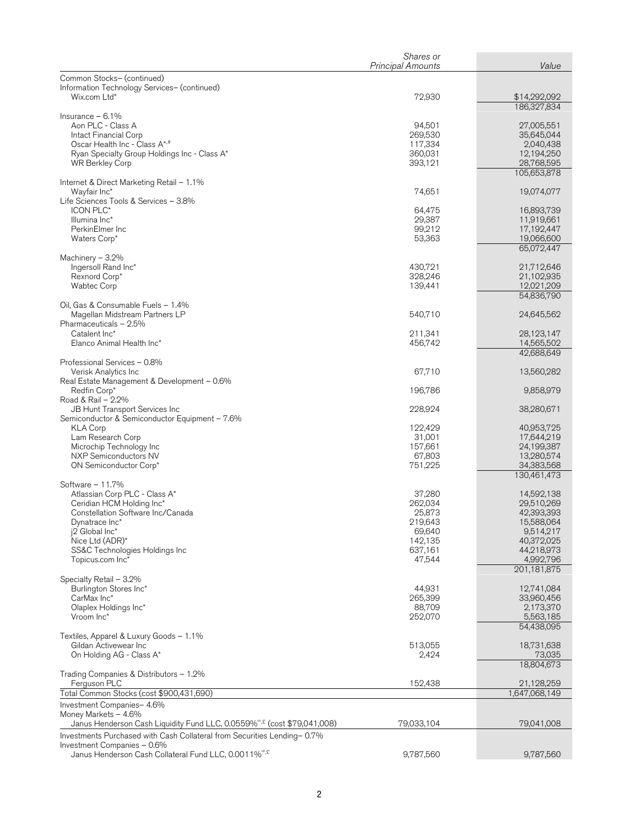|                                                                                     | Shares or                |                          |
|-------------------------------------------------------------------------------------|--------------------------|--------------------------|
|                                                                                     | <b>Principal Amounts</b> | Value                    |
| Common Stocks- (continued)<br>Information Technology Services- (continued)          |                          |                          |
| Wix.com Ltd*                                                                        | 72,930                   | \$14,292,092             |
|                                                                                     |                          | 186,327,834              |
| Insurance $-6.1%$                                                                   |                          |                          |
| Aon PLC - Class A                                                                   | 94,501                   | 27,005,551               |
| Intact Financial Corp                                                               | 269,530                  | 35,645,044               |
| Oscar Health Inc - Class A*,#<br>Ryan Specialty Group Holdings Inc - Class A*       | 117,334<br>360,031       | 2,040,438<br>12,194,250  |
| <b>WR Berkley Corp</b>                                                              | 393,121                  | 28,768,595               |
|                                                                                     |                          | 105,653,878              |
| Internet & Direct Marketing Retail - 1.1%                                           |                          |                          |
| Wayfair Inc*                                                                        | 74,651                   | 19,074,077               |
| Life Sciences Tools & Services - 3.8%<br>ICON PLC*                                  | 64,475                   | 16,893,739               |
| Illumina Inc*                                                                       | 29,387                   | 11,919,661               |
| PerkinElmer Inc                                                                     | 99,212                   | 17,192,447               |
| Waters Corp*                                                                        | 53,363                   | 19,066,600               |
|                                                                                     |                          | 65,072,447               |
| Machinery - 3.2%<br>Ingersoll Rand Inc*                                             | 430,721                  | 21,712,646               |
| Rexnord Corp*                                                                       | 328,246                  | 21,102,935               |
| <b>Wabtec Corp</b>                                                                  | 139,441                  | 12,021,209               |
|                                                                                     |                          | 54,836,790               |
| Oil, Gas & Consumable Fuels - 1.4%                                                  |                          |                          |
| Magellan Midstream Partners LP<br>Pharmaceuticals - 2.5%                            | 540,710                  | 24,645,562               |
| Catalent Inc*                                                                       | 211,341                  | 28,123,147               |
| Elanco Animal Health Inc*                                                           | 456,742                  | 14,565,502               |
|                                                                                     |                          | 42,688,649               |
| Professional Services - 0.8%                                                        |                          |                          |
| Verisk Analytics Inc                                                                | 67,710                   | 13,560,282               |
| Real Estate Management & Development - 0.6%<br>Redfin Corp*                         | 196,786                  | 9,858,979                |
| Road & Rail - 2.2%                                                                  |                          |                          |
| JB Hunt Transport Services Inc                                                      | 228,924                  | 38,280,671               |
| Semiconductor & Semiconductor Equipment - 7.6%                                      |                          |                          |
| <b>KLA Corp</b><br>Lam Research Corp                                                | 122,429<br>31,001        | 40,953,725<br>17,644,219 |
| Microchip Technology Inc                                                            | 157,661                  | 24,199,387               |
| NXP Semiconductors NV                                                               | 67,803                   | 13,280,574               |
| ON Semiconductor Corp*                                                              | 751,225                  | 34,383,568               |
|                                                                                     |                          | 130,461,473              |
| Software $-11.7%$                                                                   |                          |                          |
| Atlassian Corp PLC - Class A*<br>Ceridian HCM Holding Inc*                          | 37,280<br>262,034        | 14,592,138<br>29,510,269 |
| Constellation Software Inc/Canada                                                   | 25,873                   | 42,393,393               |
| Dynatrace Inc*                                                                      | 219,643                  | 15,588,064               |
| i <sub>2</sub> Global Inc*                                                          | 69,640                   | 9,514,217                |
| Nice Ltd (ADR)*                                                                     | 142,135                  | 40,372,025               |
| SS&C Technologies Holdings Inc<br>Topicus.com Inc*                                  | 637,161<br>47,544        | 44,218,973<br>4,992,796  |
|                                                                                     |                          | 201,181,875              |
| Specialty Retail - 3.2%                                                             |                          |                          |
| Burlington Stores Inc*                                                              | 44,931                   | 12,741,084               |
| CarMax Inc*                                                                         | 265,399                  | 33,960,456               |
| Olaplex Holdings Inc*<br>Vroom Inc*                                                 | 88,709<br>252,070        | 2,173,370                |
|                                                                                     |                          | 5,563,185<br>54,438,095  |
| Textiles, Apparel & Luxury Goods - 1.1%                                             |                          |                          |
| Gildan Activewear Inc                                                               | 513,055                  | 18,731,638               |
| On Holding AG - Class A*                                                            | 2,424                    | 73,035                   |
|                                                                                     |                          | 18,804,673               |
| Trading Companies & Distributors - 1.2%<br>Ferguson PLC                             | 152,438                  | 21,128,259               |
| Total Common Stocks (cost \$900,431,690)                                            |                          | 1,647,068,149            |
| Investment Companies- 4.6%                                                          |                          |                          |
| Money Markets - 4.6%                                                                |                          |                          |
| Janus Henderson Cash Liquidity Fund LLC, 0.0559% <sup>®,£</sup> (cost \$79,041,008) | 79,033,104               | 79,041,008               |
| Investments Purchased with Cash Collateral from Securities Lending-0.7%             |                          |                          |
| Investment Companies - 0.6%                                                         |                          |                          |
| Janus Henderson Cash Collateral Fund LLC, 0.0011% <sup>®,£</sup>                    | 9,787,560                | 9,787,560                |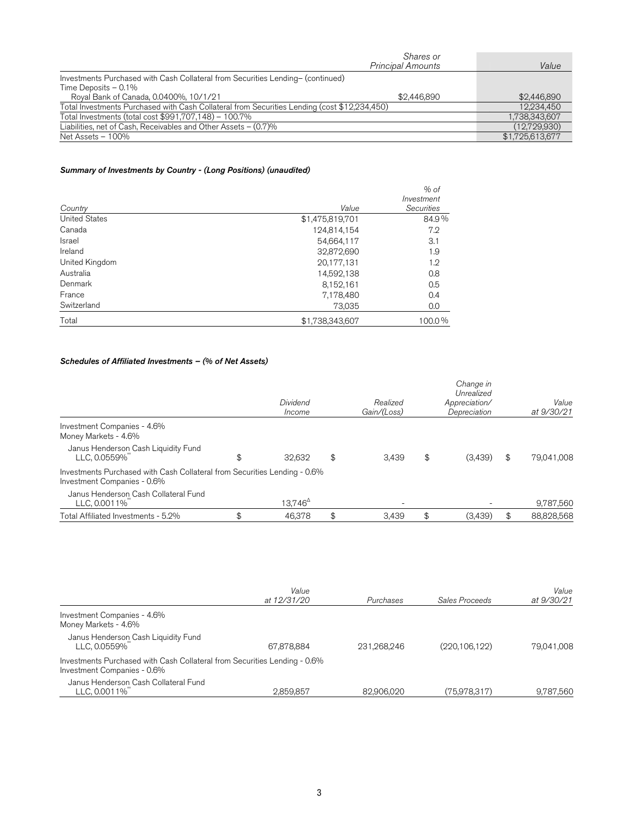|                                                                                              | Shares or<br><b>Principal Amounts</b> | Value           |
|----------------------------------------------------------------------------------------------|---------------------------------------|-----------------|
| Investments Purchased with Cash Collateral from Securities Lending- (continued)              |                                       |                 |
| Time Deposits $-0.1\%$                                                                       |                                       |                 |
| Royal Bank of Canada, 0.0400%, 10/1/21                                                       | \$2,446,890                           | \$2,446,890     |
| Total Investments Purchased with Cash Collateral from Securities Lending (cost \$12,234,450) |                                       | 12.234.450      |
| Total Investments (total cost \$991,707,148) - 100.7%                                        |                                       | 1,738,343,607   |
| Liabilities, net of Cash, Receivables and Other Assets - (0.7)%                              |                                       | (12,729,930)    |
| Net Assets - 100%                                                                            |                                       | \$1,725,613,677 |

### Summary of Investments by Country - (Long Positions) (unaudited)

| Country              | Value           | $%$ of<br>Investment<br><b>Securities</b> |
|----------------------|-----------------|-------------------------------------------|
| <b>United States</b> | \$1,475,819,701 | 84.9%                                     |
| Canada               | 124,814,154     | 7.2                                       |
| <b>Israel</b>        | 54,664,117      | 3.1                                       |
| Ireland              | 32,872,690      | 1.9                                       |
| United Kingdom       | 20,177,131      | 1.2                                       |
| Australia            | 14,592,138      | 0.8                                       |
| Denmark              | 8,152,161       | 0.5                                       |
| France               | 7,178,480       | 0.4                                       |
| Switzerland          | 73,035          | 0.0                                       |
| Total                | \$1,738,343,607 | 100.0%                                    |

### Schedules of Affiliated Investments – (% of Net Assets)

|                                                                                                          | Dividend<br>Income | Realized<br>Gain/(Loss) | Change in<br>Unrealized<br>Appreciation/<br>Depreciation | Value<br>at 9/30/21 |
|----------------------------------------------------------------------------------------------------------|--------------------|-------------------------|----------------------------------------------------------|---------------------|
| Investment Companies - 4.6%<br>Money Markets - 4.6%                                                      |                    |                         |                                                          |                     |
| Janus Henderson Cash Liquidity Fund<br>LLC. 0.0559%                                                      | \$<br>32,632       | \$<br>3.439             | \$<br>(3,439)                                            | \$<br>79,041,008    |
| Investments Purchased with Cash Collateral from Securities Lending - 0.6%<br>Investment Companies - 0.6% |                    |                         |                                                          |                     |
| Janus Henderson Cash Collateral Fund<br>LLC, 0.0011%                                                     | $13.746^{\circ}$   |                         |                                                          | 9,787,560           |
| Total Affiliated Investments - 5.2%                                                                      | 46.378             | 3.439                   | (3,439)                                                  | 88,828,568          |

|                                                                                                          | Value       |             |                 | Value      |
|----------------------------------------------------------------------------------------------------------|-------------|-------------|-----------------|------------|
|                                                                                                          | at 12/31/20 | Purchases   | Sales Proceeds  | at 9/30/21 |
| Investment Companies - 4.6%<br>Money Markets - 4.6%                                                      |             |             |                 |            |
| Janus Henderson Cash Liquidity Fund<br>LLC, 0.0559%                                                      | 67.878.884  | 231.268.246 | (220, 106, 122) | 79.041.008 |
| Investments Purchased with Cash Collateral from Securities Lending - 0.6%<br>Investment Companies - 0.6% |             |             |                 |            |
| Janus Henderson Cash Collateral Fund<br>LLC, 0.0011%                                                     | 2,859,857   | 82,906,020  | (75,978,317)    | 9,787,560  |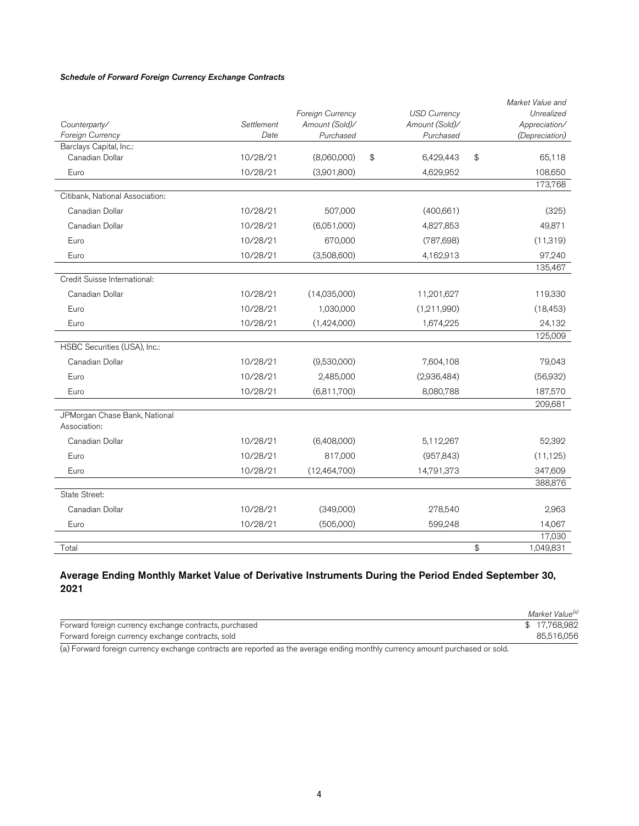#### Schedule of Forward Foreign Currency Exchange Contracts

| Counterparty/<br>Foreign Currency             | Settlement<br>Date | Foreign Currency<br>Amount (Sold)/<br>Purchased | <b>USD Currency</b><br>Amount (Sold)/<br>Purchased |                         | Market Value and<br>Unrealized<br>Appreciation/<br>(Depreciation) |
|-----------------------------------------------|--------------------|-------------------------------------------------|----------------------------------------------------|-------------------------|-------------------------------------------------------------------|
| Barclays Capital, Inc.:<br>Canadian Dollar    | 10/28/21           | (8,060,000)                                     | \$<br>6,429,443                                    | $\mathfrak{P}$          | 65,118                                                            |
| Euro                                          | 10/28/21           | (3,901,800)                                     | 4,629,952                                          |                         | 108,650                                                           |
|                                               |                    |                                                 |                                                    |                         | 173,768                                                           |
| Citibank, National Association:               |                    |                                                 |                                                    |                         |                                                                   |
| Canadian Dollar                               | 10/28/21           | 507,000                                         | (400,661)                                          |                         | (325)                                                             |
| Canadian Dollar                               | 10/28/21           | (6,051,000)                                     | 4,827,853                                          |                         | 49,871                                                            |
| Euro                                          | 10/28/21           | 670,000                                         | (787, 698)                                         |                         | (11,319)                                                          |
| Euro                                          | 10/28/21           | (3,508,600)                                     | 4,162,913                                          |                         | 97,240                                                            |
|                                               |                    |                                                 |                                                    |                         | 135,467                                                           |
| Credit Suisse International:                  |                    |                                                 |                                                    |                         |                                                                   |
| Canadian Dollar                               | 10/28/21           | (14,035,000)                                    | 11,201,627                                         |                         | 119,330                                                           |
| Euro                                          | 10/28/21           | 1,030,000                                       | (1,211,990)                                        |                         | (18, 453)                                                         |
| Euro                                          | 10/28/21           | (1,424,000)                                     | 1,674,225                                          |                         | 24,132                                                            |
|                                               |                    |                                                 |                                                    |                         | 125,009                                                           |
| HSBC Securities (USA), Inc.:                  |                    |                                                 |                                                    |                         |                                                                   |
| Canadian Dollar                               | 10/28/21           | (9,530,000)                                     | 7,604,108                                          |                         | 79,043                                                            |
| Euro                                          | 10/28/21           | 2,485,000                                       | (2,936,484)                                        |                         | (56, 932)                                                         |
| Euro                                          | 10/28/21           | (6,811,700)                                     | 8,080,788                                          |                         | 187,570                                                           |
| JPMorgan Chase Bank, National<br>Association: |                    |                                                 |                                                    |                         | 209,681                                                           |
| Canadian Dollar                               | 10/28/21           | (6,408,000)                                     | 5,112,267                                          |                         | 52,392                                                            |
| Euro                                          | 10/28/21           | 817,000                                         | (957, 843)                                         |                         | (11, 125)                                                         |
| Euro                                          | 10/28/21           | (12,464,700)                                    | 14,791,373                                         |                         | 347,609                                                           |
|                                               |                    |                                                 |                                                    |                         | 388,876                                                           |
| State Street:                                 |                    |                                                 |                                                    |                         |                                                                   |
| Canadian Dollar                               | 10/28/21           | (349,000)                                       | 278,540                                            |                         | 2,963                                                             |
| Euro                                          | 10/28/21           | (505,000)                                       | 599,248                                            |                         | 14,067                                                            |
|                                               |                    |                                                 |                                                    |                         | 17,030                                                            |
| Total                                         |                    |                                                 |                                                    | $\overline{\mathbf{e}}$ | 1,049,831                                                         |

## Average Ending Monthly Market Value of Derivative Instruments During the Period Ended September 30, 2021

|                                                        |  | Market Value <sup>(a)</sup> |
|--------------------------------------------------------|--|-----------------------------|
| Forward foreign currency exchange contracts, purchased |  | \$17,768,982                |
| Forward foreign currency exchange contracts, sold      |  | 85,516,056                  |
| $\sqrt{2}$                                             |  |                             |

(a) Forward foreign currency exchange contracts are reported as the average ending monthly currency amount purchased or sold.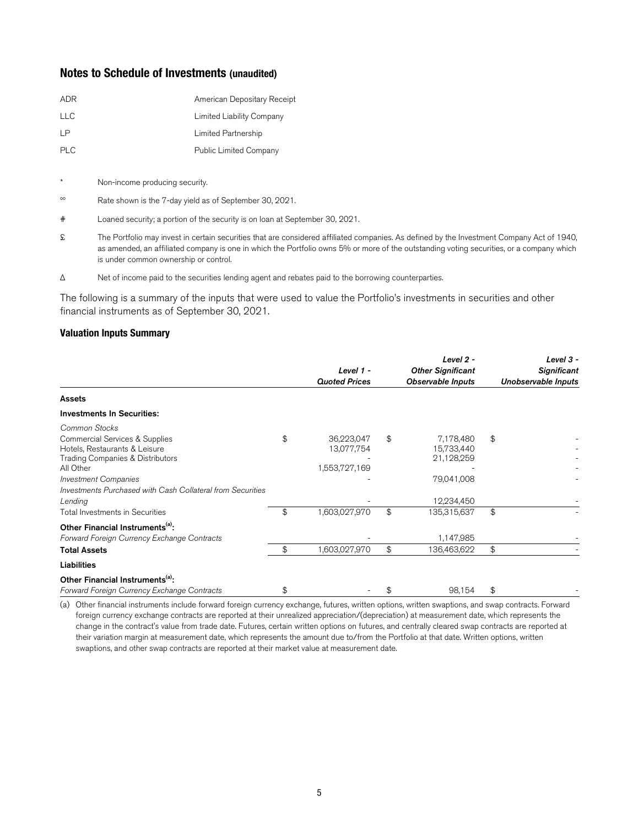## **Notes to Schedule of Investments (unaudited)**

| <b>ADR</b> | American Depositary Receipt   |
|------------|-------------------------------|
| <b>LLC</b> | Limited Liability Company     |
| I P        | Limited Partnership           |
| <b>PLC</b> | <b>Public Limited Company</b> |

- Non-income producing security.
- ºº Rate shown is the 7-day yield as of September 30, 2021.
- # Loaned security; a portion of the security is on loan at September 30, 2021.
- £ The Portfolio may invest in certain securities that are considered affiliated companies. As defined by the Investment Company Act of 1940, as amended, an affiliated company is one in which the Portfolio owns 5% or more of the outstanding voting securities, or a company which is under common ownership or control.
- Δ Net of income paid to the securities lending agent and rebates paid to the borrowing counterparties.

The following is a summary of the inputs that were used to value the Portfolio's investments in securities and other financial instruments as of September 30, 2021.

### **Valuation Inputs Summary**

|                                                                                                                             | Level 1 -<br><b>Quoted Prices</b>               | Level 2 -<br><b>Other Significant</b><br><b>Observable Inputs</b> | Level 3 -<br><b>Significant</b><br>Unobservable Inputs |
|-----------------------------------------------------------------------------------------------------------------------------|-------------------------------------------------|-------------------------------------------------------------------|--------------------------------------------------------|
| <b>Assets</b>                                                                                                               |                                                 |                                                                   |                                                        |
| <b>Investments In Securities:</b>                                                                                           |                                                 |                                                                   |                                                        |
| Common Stocks                                                                                                               |                                                 |                                                                   |                                                        |
| Commercial Services & Supplies<br>Hotels, Restaurants & Leisure<br><b>Trading Companies &amp; Distributors</b><br>All Other | \$<br>36,223,047<br>13,077,754<br>1,553,727,169 | \$<br>7,178,480<br>15,733,440<br>21,128,259                       | \$                                                     |
| <b>Investment Companies</b>                                                                                                 |                                                 | 79,041,008                                                        |                                                        |
| Investments Purchased with Cash Collateral from Securities<br>Lending                                                       |                                                 | 12,234,450                                                        |                                                        |
| Total Investments in Securities                                                                                             | \$<br>1,603,027,970                             | \$<br>135,315,637                                                 | \$                                                     |
| Other Financial Instruments <sup>(a)</sup> :<br>Forward Foreign Currency Exchange Contracts                                 |                                                 | 1,147,985                                                         |                                                        |
| <b>Total Assets</b>                                                                                                         | \$<br>1,603,027,970                             | \$<br>136,463,622                                                 | \$                                                     |
| Liabilities                                                                                                                 |                                                 |                                                                   |                                                        |
| Other Financial Instruments <sup>(a)</sup> :<br>Forward Foreign Currency Exchange Contracts                                 | \$                                              | 98,154                                                            | \$                                                     |

(a) Other financial instruments include forward foreign currency exchange, futures, written options, written swaptions, and swap contracts. Forward foreign currency exchange contracts are reported at their unrealized appreciation/(depreciation) at measurement date, which represents the change in the contract's value from trade date. Futures, certain written options on futures, and centrally cleared swap contracts are reported at their variation margin at measurement date, which represents the amount due to/from the Portfolio at that date. Written options, written swaptions, and other swap contracts are reported at their market value at measurement date.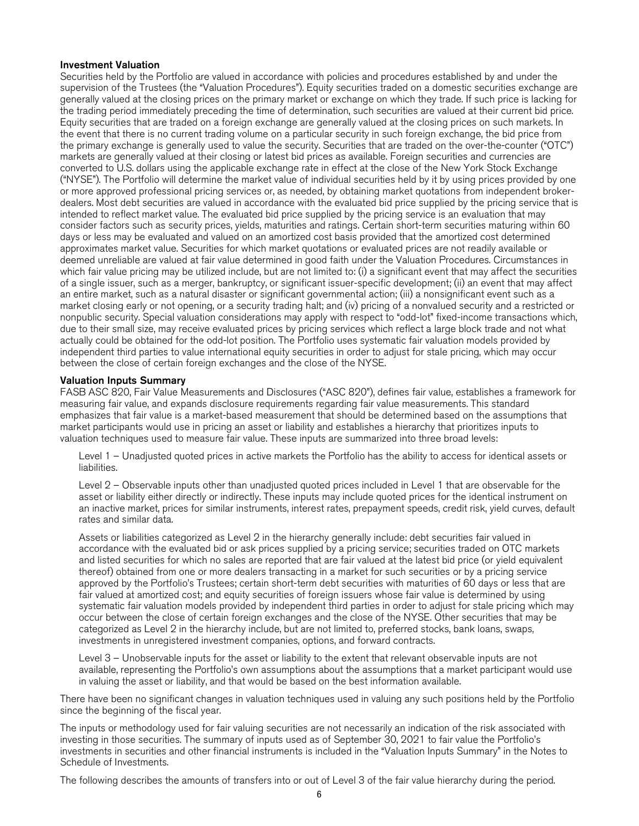### Investment Valuation

Securities held by the Portfolio are valued in accordance with policies and procedures established by and under the supervision of the Trustees (the "Valuation Procedures"). Equity securities traded on a domestic securities exchange are generally valued at the closing prices on the primary market or exchange on which they trade. If such price is lacking for the trading period immediately preceding the time of determination, such securities are valued at their current bid price. Equity securities that are traded on a foreign exchange are generally valued at the closing prices on such markets. In the event that there is no current trading volume on a particular security in such foreign exchange, the bid price from the primary exchange is generally used to value the security. Securities that are traded on the over-the-counter ("OTC") markets are generally valued at their closing or latest bid prices as available. Foreign securities and currencies are converted to U.S. dollars using the applicable exchange rate in effect at the close of the New York Stock Exchange ("NYSE"). The Portfolio will determine the market value of individual securities held by it by using prices provided by one or more approved professional pricing services or, as needed, by obtaining market quotations from independent brokerdealers. Most debt securities are valued in accordance with the evaluated bid price supplied by the pricing service that is intended to reflect market value. The evaluated bid price supplied by the pricing service is an evaluation that may consider factors such as security prices, yields, maturities and ratings. Certain short-term securities maturing within 60 days or less may be evaluated and valued on an amortized cost basis provided that the amortized cost determined approximates market value. Securities for which market quotations or evaluated prices are not readily available or deemed unreliable are valued at fair value determined in good faith under the Valuation Procedures. Circumstances in which fair value pricing may be utilized include, but are not limited to: (i) a significant event that may affect the securities of a single issuer, such as a merger, bankruptcy, or significant issuer-specific development; (ii) an event that may affect an entire market, such as a natural disaster or significant governmental action; (iii) a nonsignificant event such as a market closing early or not opening, or a security trading halt; and (iv) pricing of a nonvalued security and a restricted or nonpublic security. Special valuation considerations may apply with respect to "odd-lot" fixed-income transactions which, due to their small size, may receive evaluated prices by pricing services which reflect a large block trade and not what actually could be obtained for the odd-lot position. The Portfolio uses systematic fair valuation models provided by independent third parties to value international equity securities in order to adjust for stale pricing, which may occur between the close of certain foreign exchanges and the close of the NYSE.

### Valuation Inputs Summary

FASB ASC 820, Fair Value Measurements and Disclosures ("ASC 820"), defines fair value, establishes a framework for measuring fair value, and expands disclosure requirements regarding fair value measurements. This standard emphasizes that fair value is a market-based measurement that should be determined based on the assumptions that market participants would use in pricing an asset or liability and establishes a hierarchy that prioritizes inputs to valuation techniques used to measure fair value. These inputs are summarized into three broad levels:

Level 1 – Unadjusted quoted prices in active markets the Portfolio has the ability to access for identical assets or liabilities.

Level 2 – Observable inputs other than unadjusted quoted prices included in Level 1 that are observable for the asset or liability either directly or indirectly. These inputs may include quoted prices for the identical instrument on an inactive market, prices for similar instruments, interest rates, prepayment speeds, credit risk, yield curves, default rates and similar data.

Assets or liabilities categorized as Level 2 in the hierarchy generally include: debt securities fair valued in accordance with the evaluated bid or ask prices supplied by a pricing service; securities traded on OTC markets and listed securities for which no sales are reported that are fair valued at the latest bid price (or yield equivalent thereof) obtained from one or more dealers transacting in a market for such securities or by a pricing service approved by the Portfolio's Trustees; certain short-term debt securities with maturities of 60 days or less that are fair valued at amortized cost; and equity securities of foreign issuers whose fair value is determined by using systematic fair valuation models provided by independent third parties in order to adjust for stale pricing which may occur between the close of certain foreign exchanges and the close of the NYSE. Other securities that may be categorized as Level 2 in the hierarchy include, but are not limited to, preferred stocks, bank loans, swaps, investments in unregistered investment companies, options, and forward contracts.

Level 3 – Unobservable inputs for the asset or liability to the extent that relevant observable inputs are not available, representing the Portfolio's own assumptions about the assumptions that a market participant would use in valuing the asset or liability, and that would be based on the best information available.

There have been no significant changes in valuation techniques used in valuing any such positions held by the Portfolio since the beginning of the fiscal year.

The inputs or methodology used for fair valuing securities are not necessarily an indication of the risk associated with investing in those securities. The summary of inputs used as of September 30, 2021 to fair value the Portfolio's investments in securities and other financial instruments is included in the "Valuation Inputs Summary" in the Notes to Schedule of Investments.

The following describes the amounts of transfers into or out of Level 3 of the fair value hierarchy during the period.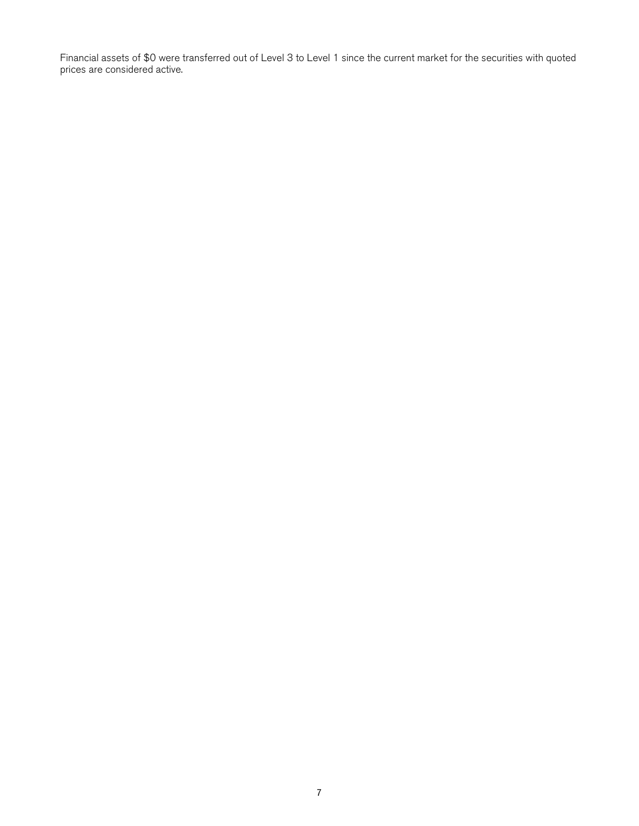Financial assets of \$0 were transferred out of Level 3 to Level 1 since the current market for the securities with quoted prices are considered active.